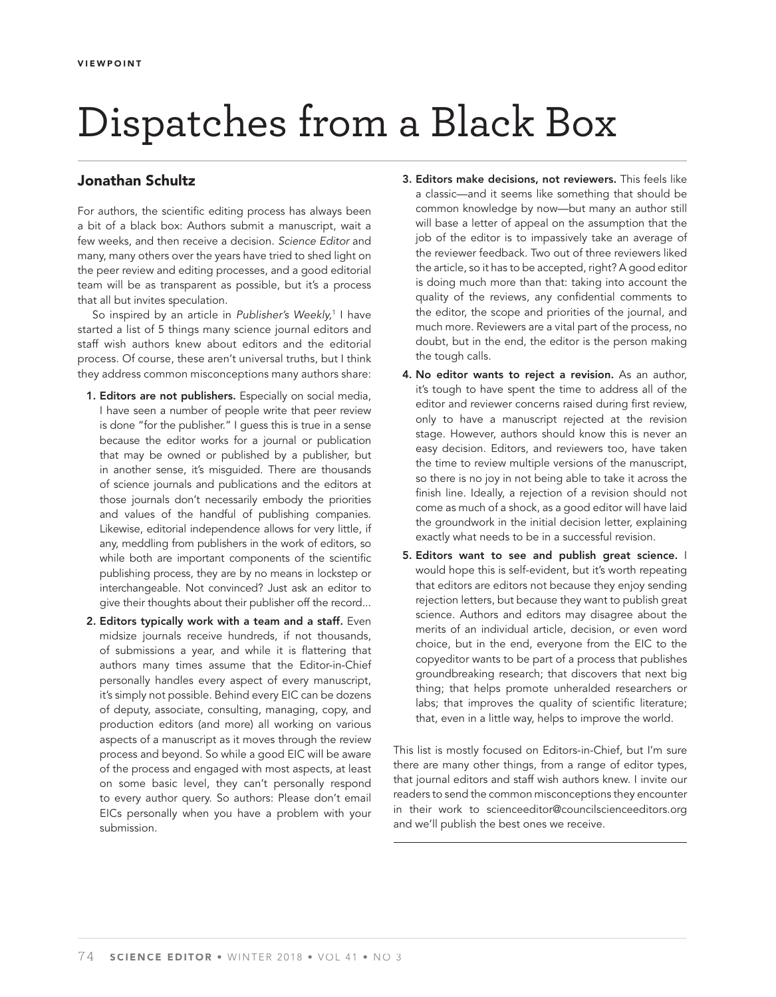## Dispatches from a Black Box

## **Jonathan Schultz**

For authors, the scientific editing process has always been a bit of a black box: Authors submit a manuscript, wait a few weeks, and then receive a decision. Science Editor and many, many others over the years have tried to shed light on the peer review and editing processes, and a good editorial team will be as transparent as possible, but it's a process that all but invites speculation.

So inspired by an article in Publisher's Weekly,<sup>1</sup> I have started a list of 5 things many science journal editors and staff wish authors knew about editors and the editorial process. Of course, these aren't universal truths, but I think they address common misconceptions many authors share:

- **1. Editors are not publishers.** Especially on social media, I have seen a number of people write that peer review is done "for the publisher." I guess this is true in a sense because the editor works for a journal or publication that may be owned or published by a publisher, but in another sense, it's misguided. There are thousands of science journals and publications and the editors at those journals don't necessarily embody the priorities and values of the handful of publishing companies. Likewise, editorial independence allows for very little, if any, meddling from publishers in the work of editors, so while both are important components of the scientific publishing process, they are by no means in lockstep or interchangeable. Not convinced? Just ask an editor to give their thoughts about their publisher off the record...
- **2. Editors typically work with a team and a staff.** Even midsize journals receive hundreds, if not thousands, of submissions a year, and while it is flattering that authors many times assume that the Editor-in-Chief personally handles every aspect of every manuscript, it's simply not possible. Behind every EIC can be dozens of deputy, associate, consulting, managing, copy, and production editors (and more) all working on various aspects of a manuscript as it moves through the review process and beyond. So while a good EIC will be aware of the process and engaged with most aspects, at least on some basic level, they can't personally respond to every author query. So authors: Please don't email EICs personally when you have a problem with your submission.
- **3. Editors make decisions, not reviewers.** This feels like a classic—and it seems like something that should be common knowledge by now—but many an author still will base a letter of appeal on the assumption that the job of the editor is to impassively take an average of the reviewer feedback. Two out of three reviewers liked the article, so it has to be accepted, right? A good editor is doing much more than that: taking into account the quality of the reviews, any confidential comments to the editor, the scope and priorities of the journal, and much more. Reviewers are a vital part of the process, no doubt, but in the end, the editor is the person making the tough calls.
- **4. No editor wants to reject a revision.** As an author, it's tough to have spent the time to address all of the editor and reviewer concerns raised during first review, only to have a manuscript rejected at the revision stage. However, authors should know this is never an easy decision. Editors, and reviewers too, have taken the time to review multiple versions of the manuscript, so there is no joy in not being able to take it across the finish line. Ideally, a rejection of a revision should not come as much of a shock, as a good editor will have laid the groundwork in the initial decision letter, explaining exactly what needs to be in a successful revision.
- **5. Editors want to see and publish great science.** I would hope this is self-evident, but it's worth repeating that editors are editors not because they enjoy sending rejection letters, but because they want to publish great science. Authors and editors may disagree about the merits of an individual article, decision, or even word choice, but in the end, everyone from the EIC to the copyeditor wants to be part of a process that publishes groundbreaking research; that discovers that next big thing; that helps promote unheralded researchers or labs; that improves the quality of scientific literature; that, even in a little way, helps to improve the world.

This list is mostly focused on Editors-in-Chief, but I'm sure there are many other things, from a range of editor types, that journal editors and staff wish authors knew. I invite our readers to send the common misconceptions they encounter in their work to scienceeditor@councilscienceeditors.org and we'll publish the best ones we receive.